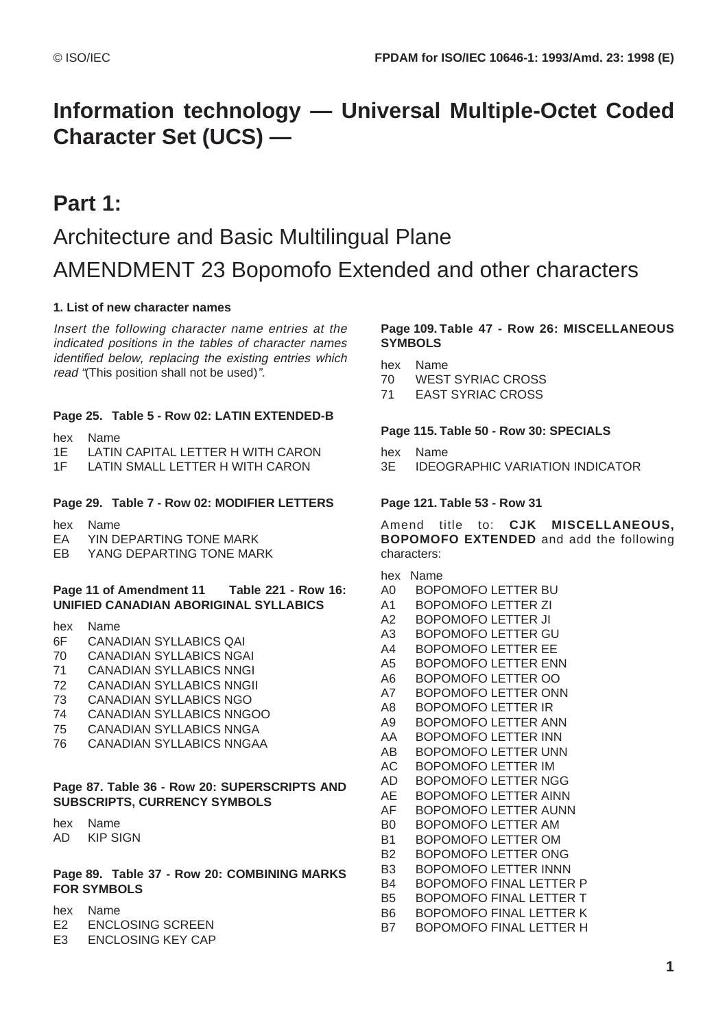# **Information technology — Universal Multiple-Octet Coded Character Set (UCS) —**

## **Part 1:**

# Architecture and Basic Multilingual Plane AMENDMENT 23 Bopomofo Extended and other characters

## **1. List of new character names**

Insert the following character name entries at the indicated positions in the tables of character names identified below, replacing the existing entries which read "(This position shall not be used)".

## **Page 25. Table 5 - Row 02: LATIN EXTENDED-B**

- hex Name
- 1E LATIN CAPITAL LETTER H WITH CARON
- 1F LATIN SMALL LETTER H WITH CARON

## **Page 29. Table 7 - Row 02: MODIFIER LETTERS**

- hex Name
- EA YIN DEPARTING TONE MARK
- EB YANG DEPARTING TONE MARK

#### **Page 11 of Amendment 11 Table 221 - Row 16: UNIFIED CANADIAN ABORIGINAL SYLLABICS**

- hex Name
- 6F CANADIAN SYLLABICS QAI
- 70 CANADIAN SYLLABICS NGAI
- 71 CANADIAN SYLLABICS NNGI
- 72 CANADIAN SYLLABICS NNGII
- 73 CANADIAN SYLLABICS NGO
- 74 CANADIAN SYLLABICS NNGOO
- 75 CANADIAN SYLLABICS NNGA
- 76 CANADIAN SYLLABICS NNGAA

#### **Page 87. Table 36 - Row 20: SUPERSCRIPTS AND SUBSCRIPTS, CURRENCY SYMBOLS**

hex Name

AD KIP SIGN

#### **Page 89. Table 37 - Row 20: COMBINING MARKS FOR SYMBOLS**

- hex Name
- E2 ENCLOSING SCREEN
- E3 ENCLOSING KEY CAP

## **Page 109. Table 47 - Row 26: MISCELLANEOUS SYMBOLS**

- hex Name
- 70 WEST SYRIAC CROSS
- 71 EAST SYRIAC CROSS

#### **Page 115. Table 50 - Row 30: SPECIALS**

- hex Name
- 3E IDEOGRAPHIC VARIATION INDICATOR

## **Page 121. Table 53 - Row 31**

Amend title to: **CJK MISCELLANEOUS, BOPOMOFO EXTENDED** and add the following characters:

## hex Name

- A0 BOPOMOFO LETTER BU
- A1 BOPOMOFO LETTER ZI
- A2 BOPOMOFO LETTER JI
- A3 BOPOMOFO LETTER GU
- A4 BOPOMOFO LETTER EE
- A5 BOPOMOFO LETTER ENN
- A6 BOPOMOFO LETTER OO
- A7 BOPOMOFO LETTER ONN
- A8 BOPOMOFO LETTER IR
- A9 BOPOMOFO LETTER ANN AA BOPOMOFO LETTER INN
- AB BOPOMOFO LETTER UNN
- AC BOPOMOFO LETTER IM
- AD BOPOMOFO LETTER NGG
- AE BOPOMOFO LETTER AINN
- AF BOPOMOFO LETTER AUNN
- B0 BOPOMOFO LETTER AM
- B1 BOPOMOFO LETTER OM
- B2 BOPOMOFO LETTER ONG
- B3 BOPOMOFO LETTER INNN
- B4 BOPOMOFO FINAL LETTER P
- B5 BOPOMOFO FINAL LETTER T
- B6 BOPOMOFO FINAL LETTER K
- B7 BOPOMOFO FINAL LETTER H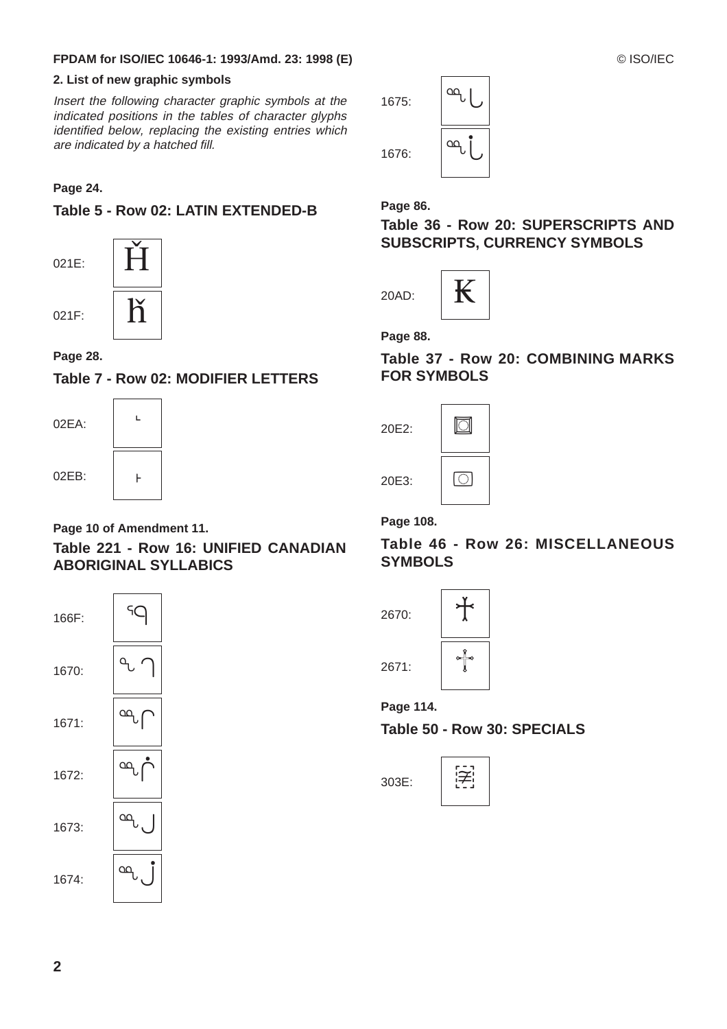## **FPDAM for ISO/IEC 10646-1: 1993/Amd. 23: 1998 (E)** © ISO/IEC

## **2. List of new graphic symbols**

Insert the following character graphic symbols at the indicated positions in the tables of character glyphs identified below, replacing the existing entries which are indicated by a hatched fill.

## **Page 24.**

## **Table 5 - Row 02: LATIN EXTENDED-B**

021E:



021F:

## **Page 28.**

## **Table 7 - Row 02: MODIFIER LETTERS**



## **Page 10 of Amendment 11.**

## **Table 221 - Row 16: UNIFIED CANADIAN ABORIGINAL SYLLABICS**



1675: 1676: ˆ ı

**Page 86.** 

**Table 36 - Row 20: SUPERSCRIPTS AND SUBSCRIPTS, CURRENCY SYMBOLS**



**Page 88.**

**Table 37 - Row 20: COMBINING MARKS FOR SYMBOLS**

| 20E2: |  |
|-------|--|
| 20E3: |  |

**Page 108.**

## **Table 46 - Row 26: MISCELLANEOUS SYMBOLS**



**Page 114.**

**Table 50 - Row 30: SPECIALS**